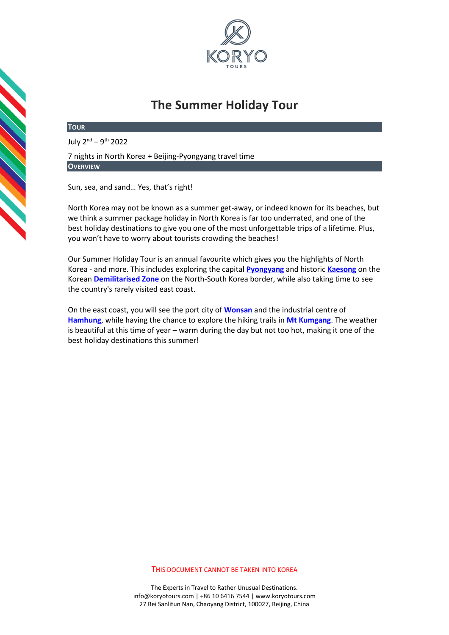

# **The Summer Holiday Tour**

#### **TOUR**

July 2<sup>nd</sup> – 9<sup>th</sup> 2022

7 nights in North Korea + Beijing-Pyongyang travel time **OVERVIEW**

Sun, sea, and sand… Yes, that's right!

North Korea may not be known as a summer get-away, or indeed known for its beaches, but we think a summer package holiday in North Korea is far too underrated, and one of the best holiday destinations to give you one of the most unforgettable trips of a lifetime. Plus, you won't have to worry about tourists crowding the beaches!

Our Summer Holiday Tour is an annual favourite which gives you the highlights of North Korea - and more. This includes exploring the capital **[Pyongyang](https://koryogroup.com/travel-guides/north-korea-dprk/pyongyang)** and historic **[Kaesong](https://koryogroup.com/travel-guides/north-korea-dprk/kaesong-the-dmz)** on the Korean **[Demilitarised Zone](https://koryogroup.com/travel-guide/dmz-panmunjom-north-korea-north-korea-travel-guide)** on the North-South Korea border, while also taking time to see the country's rarely visited east coast.

On the east coast, you will see the port city of **[Wonsan](https://koryogroup.com/travel-guide/wonsan-north-korea-north-korea-travel-guide)** and the industrial centre of **[Hamhung](https://koryogroup.com/travel-guide/hamhung-north-korea-north-korea-travel-guide)**, while having the chance to explore the hiking trails in **[Mt Kumgang](https://koryogroup.com/travel-guide/mt-kumgang-north-korea-north-korea-travel-guide)**. The weather is beautiful at this time of year – warm during the day but not too hot, making it one of the best holiday destinations this summer!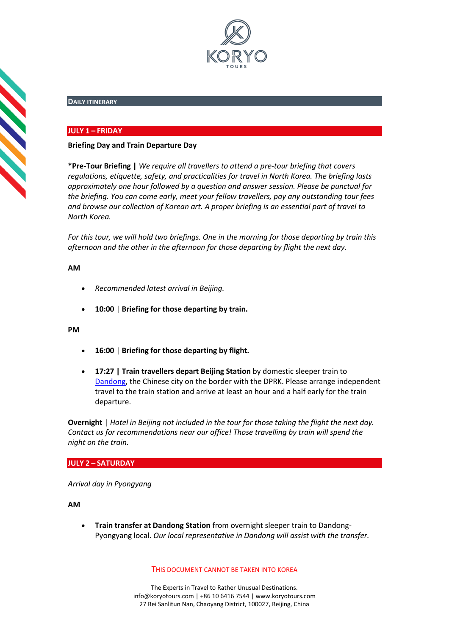

## **DAILY ITINERARY**

## **JULY 1 – FRIDAY**

#### **Briefing Day and Train Departure Day**

**\*Pre-Tour Briefing |** *We require all travellers to attend a pre-tour briefing that covers regulations, etiquette, safety, and practicalities for travel in North Korea. The briefing lasts approximately one hour followed by a question and answer session. Please be punctual for the briefing. You can come early, meet your fellow travellers, pay any outstanding tour fees and browse our collection of Korean art. A proper briefing is an essential part of travel to North Korea.*

*For this tour, we will hold two briefings. One in the morning for those departing by train this afternoon and the other in the afternoon for those departing by flight the next day.*

## **AM**

**SSSS** 

- *Recommended latest arrival in Beijing.*
- **10:00** | **Briefing for those departing by train.**

#### **PM**

- **16:00** | **Briefing for those departing by flight.**
- **17:27 | Train travellers depart Beijing Station** by domestic sleeper train to [Dandong,](https://koryogroup.com/travel-guide/dandong-liaoning-china-travel-guide) the Chinese city on the border with the DPRK. Please arrange independent travel to the train station and arrive at least an hour and a half early for the train departure.

**Overnight** | *Hotel in Beijing not included in the tour for those taking the flight the next day. Contact us for recommendations near our office! Those travelling by train will spend the night on the train.* 

#### **JULY 2 – SATURDAY**

*Arrival day in Pyongyang*

**AM**

• **Train transfer at Dandong Station** from overnight sleeper train to Dandong-Pyongyang local. *Our local representative in Dandong will assist with the transfer.* 

THIS DOCUMENT CANNOT BE TAKEN INTO KOREA

The Experts in Travel to Rather Unusual Destinations. [info@koryotours.com](mailto:info@koryotours.com) | +86 10 6416 7544 | [www.koryotours.com](http://www.koryotours.com/) 27 Bei Sanlitun Nan, Chaoyang District, 100027, Beijing, China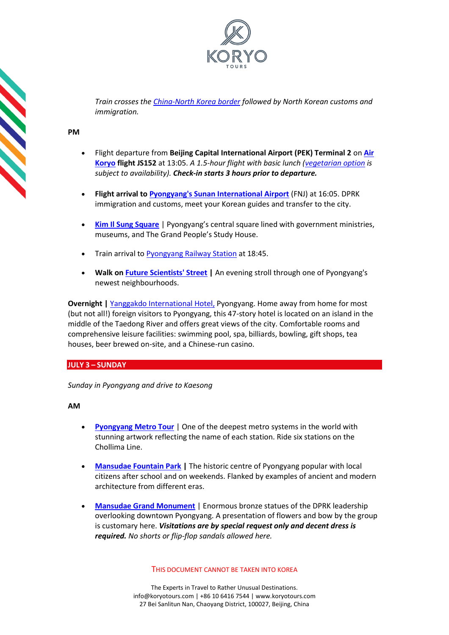

*Train crosses the [China-North Korea border](https://koryogroup.com/travel-guide/dandong-guide-sino-korean-friendship-bridge-north-korea) followed by North Korean customs and immigration.*

**PM**

**SSSS** 

- Flight departure from **Beijing Capital International Airport (PEK) Terminal 2** on **[Air](https://koryogroup.com/travel-guide/air-koryo-north-korea-travel-guide)  [Koryo](https://koryogroup.com/travel-guide/air-koryo-north-korea-travel-guide) flight JS152** at 13:05. *A 1.5-hour flight with basic lunch [\(vegetarian option](https://koryogroup.com/blog/air-koryo-vegetarians-welcome) is subject to availability). Check-in starts 3 hours prior to departure.*
- **Flight arrival to [Pyongyang's Sunan International Airport](https://koryogroup.com/travel-guide/pyongyang-airport-north-korea-travel-guide-f98cfdb4-ab0f-419c-90a3-93b18280a76b)** (FNJ) at 16:05. DPRK immigration and customs, meet your Korean guides and transfer to the city.
- **[Kim Il Sung Square](https://koryogroup.com/travel-guide/north-korea-guide-kim-il-sung-square)** | Pyongyang's central square lined with government ministries, museums, and The Grand People's Study House.
- Train arrival to [Pyongyang Railway Station](https://koryogroup.com/travel-guide/pyongyang-railway-station-north-korea-travel-guide) at 18:45.
- **Walk on [Future Scientists' Street](https://koryogroup.com/travel-guide/mirae-street-pyongyang-north-korea-travel-guide) |** An evening stroll through one of Pyongyang's newest neighbourhoods.

**Overnight | [Yanggakdo International Hotel,](https://koryogroup.com/travel-guide/yanggakdo-hotel-north-korea-travel-guide) Pyongyang. Home away from home for most** (but not all!) foreign visitors to Pyongyang, this 47-story hotel is located on an island in the middle of the Taedong River and offers great views of the city. Comfortable rooms and comprehensive leisure facilities: swimming pool, spa, billiards, bowling, gift shops, tea houses, beer brewed on-site, and a Chinese-run casino.

## **JULY 3 – SUNDAY**

*Sunday in Pyongyang and drive to Kaesong*

**AM**

- **[Pyongyang Metro Tour](https://koryogroup.com/travel-guide/north-korea-guide-the-pyongyang-metro)** | One of the deepest metro systems in the world with stunning artwork reflecting the name of each station. Ride six stations on the Chollima Line.
- **[Mansudae Fountain Park](https://koryogroup.com/travel-guide/mansudae-fountain-park-north-korea-travel-guide) |** The historic centre of Pyongyang popular with local citizens after school and on weekends. Flanked by examples of ancient and modern architecture from different eras.
- **[Mansudae Grand Monument](https://koryogroup.com/travel-guide/north-korea-guide-mansudae-grand-monument)** | Enormous bronze statues of the DPRK leadership overlooking downtown Pyongyang. A presentation of flowers and bow by the group is customary here. *Visitations are by special request only and decent dress is required. No shorts or flip-flop sandals allowed here.*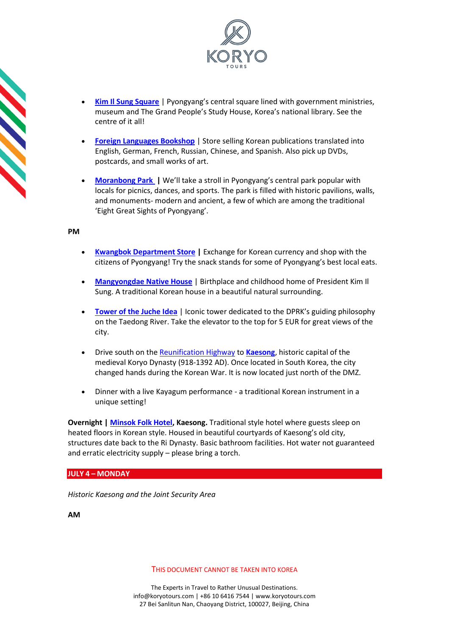

- **[Kim Il Sung Square](https://koryogroup.com/travel-guide/north-korea-guide-kim-il-sung-square)** | Pyongyang's central square lined with government ministries, museum and The Grand People's Study House, Korea's national library. See the centre of it all!
- **[Foreign Languages Bookshop](https://koryogroup.com/travel-guide/foreign-languages-bookshop-north-korea-travel-guide)** | Store selling Korean publications translated into English, German, French, Russian, Chinese, and Spanish. Also pick up DVDs, postcards, and small works of art.
- **[Moranbong Park](https://koryogroup.com/travel-guide/moranbong-park-north-korea-travel-guide) |** We'll take a stroll in Pyongyang's central park popular with locals for picnics, dances, and sports. The park is filled with historic pavilions, walls, and monuments- modern and ancient, a few of which are among the traditional 'Eight Great Sights of Pyongyang'.

**CONTRACT** 

- **[Kwangbok Department Store](https://koryogroup.com/travel-guide/north-korea-guide-kwangbok-department-store-supermarket) |** Exchange for Korean currency and shop with the citizens of Pyongyang! Try the snack stands for some of Pyongyang's best local eats.
- **[Mangyongdae Native House](https://koryogroup.com/travel-guide/mangyongdae-pyongyang-north-korea-travel-guide)** | Birthplace and childhood home of President Kim Il Sung. A traditional Korean house in a beautiful natural surrounding.
- **[Tower of the Juche Idea](https://koryogroup.com/travel-guide/the-tower-of-the-juche-idea)** | Iconic tower dedicated to the DPRK's guiding philosophy on the Taedong River. Take the elevator to the top for 5 EUR for great views of the city.
- Drive south on the [Reunification Highway](https://koryogroup.com/travel-guide/the-reunification-highway-pyongyang-to-the-dmz-north-korea-travel-guide) to **[Kaesong](https://koryogroup.com/travel-guide/kaesong-the-dmz-north-korea-north-korea-travel-guide)**, historic capital of the medieval Koryo Dynasty (918-1392 AD). Once located in South Korea, the city changed hands during the Korean War. It is now located just north of the DMZ.
- Dinner with a live Kayagum performance a traditional Korean instrument in a unique setting!

**Overnight | [Minsok Folk Hotel,](https://koryogroup.com/travel-guide/the-minsok-hotel-kaesong-north-korea-travel-guide) Kaesong.** Traditional style hotel where guests sleep on heated floors in Korean style. Housed in beautiful courtyards of Kaesong's old city, structures date back to the Ri Dynasty. Basic bathroom facilities. Hot water not guaranteed and erratic electricity supply – please bring a torch.

## **JULY 4 – MONDAY**

*Historic Kaesong and the Joint Security Area*

**AM**

THIS DOCUMENT CANNOT BE TAKEN INTO KOREA

The Experts in Travel to Rather Unusual Destinations. [info@koryotours.com](mailto:info@koryotours.com) | +86 10 6416 7544 | [www.koryotours.com](http://www.koryotours.com/) 27 Bei Sanlitun Nan, Chaoyang District, 100027, Beijing, China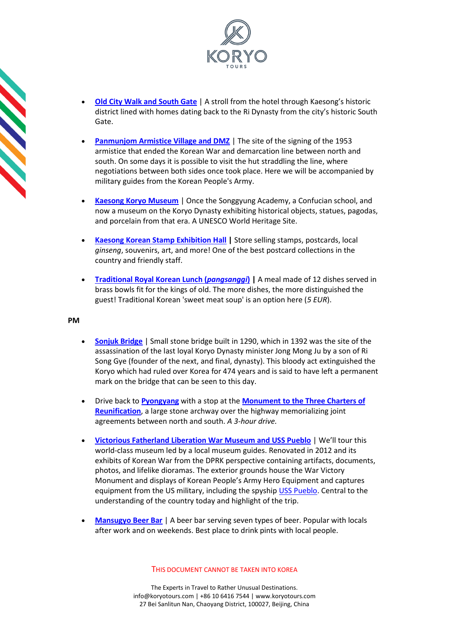

- **[Old City Walk and South Gate](https://koryogroup.com/travel-guide/walk-in-kaesong-city-north-korea-travel-guide)** | A stroll from the hotel through Kaesong's historic district lined with homes dating back to the Ri Dynasty from the city's historic South Gate.
- **[Panmunjom Armistice Village and DMZ](https://koryogroup.com/travel-guide/dmz-panmunjom-north-korea-north-korea-travel-guide)** | The site of the signing of the 1953 armistice that ended the Korean War and demarcation line between north and south. On some days it is possible to visit the hut straddling the line, where negotiations between both sides once took place. Here we will be accompanied by military guides from the Korean People's Army.
- **[Kaesong Koryo Museum](https://koryogroup.com/travel-guide/north-korea-guide-kaesong-koryo-museum)** | Once the Songgyung Academy, a Confucian school, and now a museum on the Koryo Dynasty exhibiting historical objects, statues, pagodas, and porcelain from that era. A UNESCO World Heritage Site.
- **[Kaesong Korean Stamp Exhibition Hall](https://koryogroup.com/travel-guide/stamp-shop-kaesong-north-korea-travel-guide) |** Store selling stamps, postcards, local *ginseng*, souvenirs, art, and more! One of the best postcard collections in the country and friendly staff.
- **[Traditional Royal Korean Lunch \(](https://koryogroup.com/travel-guide/pansangi-traditional-north-korean-food-north-korea-travel-guide)***pangsanggi***) |** A meal made of 12 dishes served in brass bowls fit for the kings of old. The more dishes, the more distinguished the guest! Traditional Korean 'sweet meat soup' is an option here (*5 EUR*).

**CONSTRUCTION** 

- **[Sonjuk Bridge](https://koryogroup.com/travel-guide/sonjuk-bridge-north-korea-travel-guide)** | Small stone bridge built in 1290, which in 1392 was the site of the assassination of the last loyal Koryo Dynasty minister Jong Mong Ju by a son of Ri Song Gye (founder of the next, and final, dynasty). This bloody act extinguished the Koryo which had ruled over Korea for 474 years and is said to have left a permanent mark on the bridge that can be seen to this day.
- Drive back to **[Pyongyang](https://koryogroup.com/travel-guide/north-korea-guide-pyongyang-city)** with a stop at the **[Monument to the Three Charters of](https://koryogroup.com/travel-guide/the-arch-of-reunification-north-korea-travel-guide)  [Reunification](https://koryogroup.com/travel-guide/the-arch-of-reunification-north-korea-travel-guide)**, a large stone archway over the highway memorializing joint agreements between north and south. *A 3-hour drive.*
- **[Victorious Fatherland Liberation War Museum and USS Pueblo](https://koryogroup.com/travel-guide/north-korea-guide-victorious-fatherland-liberation-war-museum)** | We'll tour this world-class museum led by a local museum guides. Renovated in 2012 and its exhibits of Korean War from the DPRK perspective containing artifacts, documents, photos, and lifelike dioramas. The exterior grounds house the War Victory Monument and displays of Korean People's Army Hero Equipment and captures equipment from the US military, including the spyship [USS Pueblo.](https://koryogroup.com/travel-guide/uss-pueblo-north-korea-travel-guide) Central to the understanding of the country today and highlight of the trip.
- **[Mansugyo Beer Bar](https://koryogroup.com/travel-guide/mansugyo-beer-bar-north-korea-travel-guide)** | A beer bar serving seven types of beer. Popular with locals after work and on weekends. Best place to drink pints with local people.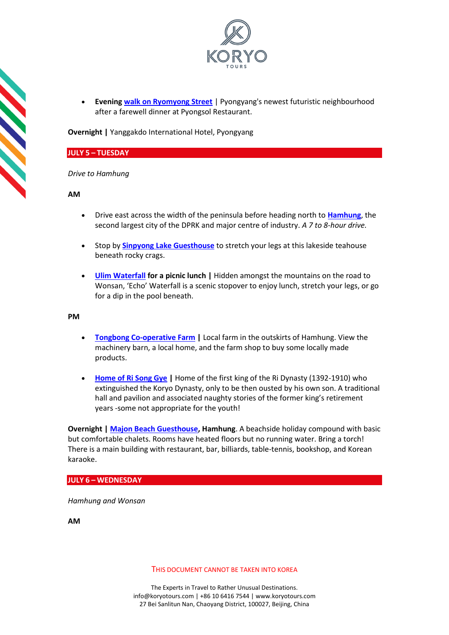

• **Evening [walk on Ryomyong Street](https://koryogroup.com/travel-guide/walking-on-ryomyong-street-north-korea-travel-guide)** | Pyongyang's newest futuristic neighbourhood after a farewell dinner at Pyongsol Restaurant.

**Overnight |** Yanggakdo International Hotel, Pyongyang

#### **JULY 5 – TUESDAY**

*Drive to Hamhung*

**AM**

**SSSS** 

- Drive east across the width of the peninsula before heading north to **[Hamhung](https://koryogroup.com/travel-guide/hamhung-north-korea-north-korea-travel-guide)**, the second largest city of the DPRK and major centre of industry. *A 7 to 8-hour drive.*
- Stop by **[Sinpyong Lake Guesthouse](https://koryogroup.com/travel-guide/sinphyong-rest-area-north-korea-travel-guide)** to stretch your legs at this lakeside teahouse beneath rocky crags.
- **[Ulim Waterfall](https://koryogroup.com/travel-guide/ulim-waterfall-north-korea-travel-guide) for a picnic lunch |** Hidden amongst the mountains on the road to Wonsan, 'Echo' Waterfall is a scenic stopover to enjoy lunch, stretch your legs, or go for a dip in the pool beneath.

**PM**

- **[Tongbong Co-operative Farm](https://koryogroup.com/travel-guide/tongbong-cooperative-farm-north-korea-travel-guide) |** Local farm in the outskirts of Hamhung. View the machinery barn, a local home, and the farm shop to buy some locally made products.
- **[Home of Ri Song Gye](https://koryogroup.com/travel-guide/home-of-ri-song-gye-hamhung-royal-villa-north-korea-travel-guide) |** Home of the first king of the Ri Dynasty (1392-1910) who extinguished the Koryo Dynasty, only to be then ousted by his own son. A traditional hall and pavilion and associated naughty stories of the former king's retirement years -some not appropriate for the youth!

**Overnight | [Majon Beach Guesthouse,](https://koryogroup.com/travel-guide/majon-beach-resort-hamhung-north-korea-travel-guide) Hamhung**. A beachside holiday compound with basic but comfortable chalets. Rooms have heated floors but no running water. Bring a torch! There is a main building with restaurant, bar, billiards, table-tennis, bookshop, and Korean karaoke.

#### **JULY 6 – WEDNESDAY**

*Hamhung and Wonsan*

**AM**

THIS DOCUMENT CANNOT BE TAKEN INTO KOREA

The Experts in Travel to Rather Unusual Destinations. [info@koryotours.com](mailto:info@koryotours.com) | +86 10 6416 7544 | [www.koryotours.com](http://www.koryotours.com/) 27 Bei Sanlitun Nan, Chaoyang District, 100027, Beijing, China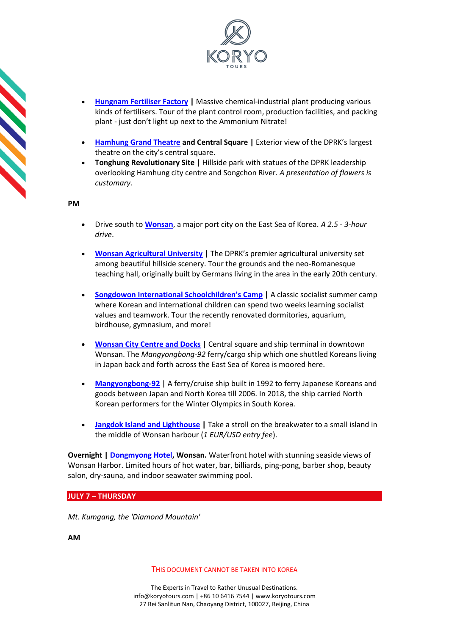

- **[Hungnam Fertiliser Factory](https://koryogroup.com/travel-guide/hungnam-fertiliser-factory-north-korea-travel-guide) |** Massive chemical-industrial plant producing various kinds of fertilisers. Tour of the plant control room, production facilities, and packing plant - just don't light up next to the Ammonium Nitrate!
- **[Hamhung Grand Theatre](https://koryogroup.com/travel-guide/hamhung-grand-theatre-north-korea-travel-guide) and Central Square |** Exterior view of the DPRK's largest theatre on the city's central square.
- **Tonghung Revolutionary Site** | Hillside park with statues of the DPRK leadership overlooking Hamhung city centre and Songchon River. *A presentation of flowers is customary.*

**CONTRACT** 

- Drive south to **[Wonsan](https://koryogroup.com/travel-guide/wonsan-north-korea-north-korea-travel-guide)**, a major port city on the East Sea of Korea. *A 2.5 - 3-hour drive*.
- **[Wonsan Agricultural University](https://koryogroup.com/travel-guide/wonsan-agricultural-university-north-korea-travel-guide) |** The DPRK's premier agricultural university set among beautiful hillside scenery. Tour the grounds and the neo-Romanesque teaching hall, originally built by Germans living in the area in the early 20th century.
- **[Songdowon International Schoolchildren's](https://koryogroup.com/travel-guide/songdowon-international-children-s-camp-wonsan-north-korea-travel-guide) [Camp](https://koryogroup.com/travel-guide/songdowon-international-children-s-camp-wonsan-north-korea-travel-guide) |** A classic socialist summer camp where Korean and international children can spend two weeks learning socialist values and teamwork. Tour the recently renovated dormitories, aquarium, birdhouse, gymnasium, and more!
- **[Wonsan City Centre and Docks](https://koryogroup.com/travel-guide/wonsan-city-centre-north-korea-travel-guide)** | Central square and ship terminal in downtown Wonsan. The *Mangyongbong-92* ferry/cargo ship which one shuttled Koreans living in Japan back and forth across the East Sea of Korea is moored here.
- **[Mangyongbong-92](https://koryogroup.com/travel-guide/mangyongbong-92-north-korea-travel-guide)** | A ferry/cruise ship built in 1992 to ferry Japanese Koreans and goods between Japan and North Korea till 2006. In 2018, the ship carried North Korean performers for the Winter Olympics in South Korea.
- **[Jangdok Island and Lighthouse](https://koryogroup.com/travel-guide/jangdok-island-lighthouse-wonsan-pier-north-korea-travel-guide) |** Take a stroll on the breakwater to a small island in the middle of Wonsan harbour (*1 EUR/USD entry fee*).

**Overnight | [Dongmyong Hotel,](https://koryogroup.com/travel-guide/the-tongmyong-hotel-wonsan-north-korea-travel-guide) Wonsan.** Waterfront hotel with stunning seaside views of Wonsan Harbor. Limited hours of hot water, bar, billiards, ping-pong, barber shop, beauty salon, dry-sauna, and indoor seawater swimming pool.

**JULY 7 – THURSDAY**

*Mt. Kumgang, the 'Diamond Mountain'*

**AM**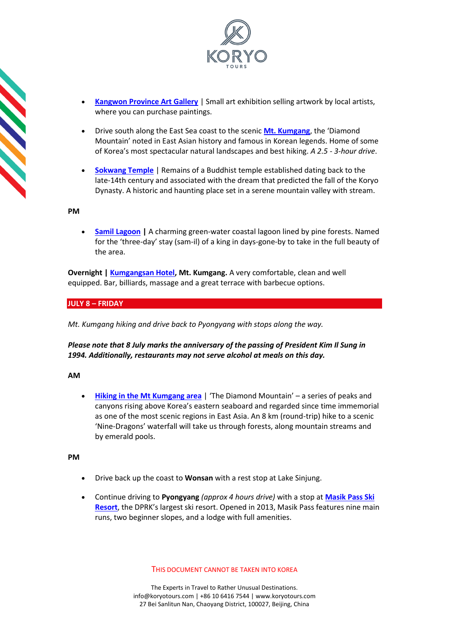

- **[Kangwon Province Art Gallery](https://koryogroup.com/travel-guide/art-gallery-wonsan-north-korea-travel-guide)** | Small art exhibition selling artwork by local artists, where you can purchase paintings.
- Drive south along the East Sea coast to the scenic **[Mt. Kumgang](https://koryogroup.com/travel-guide/mt-kumgang-north-korea-north-korea-travel-guide)**, the 'Diamond Mountain' noted in East Asian history and famous in Korean legends. Home of some of Korea's most spectacular natural landscapes and best hiking. *A 2.5 - 3-hour drive*.
- **[Sokwang Temple](https://koryogroup.com/travel-guide/the-koryo-academy-stage-fright)** | Remains of a Buddhist temple established dating back to the late-14th century and associated with the dream that predicted the fall of the Koryo Dynasty. A historic and haunting place set in a serene mountain valley with stream.

• **[Samil Lagoon](https://koryogroup.com/travel-guide/samil-lagoon-north-korea-travel-guide) |** A charming green-water coastal lagoon lined by pine forests. Named for the 'three-day' stay (sam-il) of a king in days-gone-by to take in the full beauty of the area.

**Overnight | [Kumgangsan Hotel,](https://koryogroup.com/travel-guide/kumgangsan-hotel-north-korea-travel-guide) Mt. Kumgang.** A very comfortable, clean and well equipped. Bar, billiards, massage and a great terrace with barbecue options.

## **JULY 8 – FRIDAY**

*Mt. Kumgang hiking and drive back to Pyongyang with stops along the way.*

## *Please note that 8 July marks the anniversary of the passing of President Kim Il Sung in 1994. Additionally, restaurants may not serve alcohol at meals on this day.*

### **AM**

**[Hiking in the Mt Kumgang area](https://koryogroup.com/travel-guide/mt-kumgang-hiking-north-korea-travel-guide)** | 'The Diamond Mountain' – a series of peaks and canyons rising above Korea's eastern seaboard and regarded since time immemorial as one of the most scenic regions in East Asia. An 8 km (round-trip) hike to a scenic 'Nine-Dragons' waterfall will take us through forests, along mountain streams and by emerald pools.

**PM**

- Drive back up the coast to **Wonsan** with a rest stop at Lake Sinjung.
- Continue driving to **Pyongyang** *(approx 4 hours drive)* with a stop at **[Masik Pass Ski](https://koryogroup.com/travel-guide/masikryong-hotel-masik-ski-resort-north-korea-travel-guide)  [Resort](https://koryogroup.com/travel-guide/masikryong-hotel-masik-ski-resort-north-korea-travel-guide)**, the DPRK's largest ski resort. Opened in 2013, Masik Pass features nine main runs, two beginner slopes, and a lodge with full amenities.